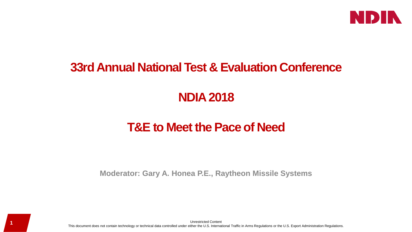

### **33rd Annual National Test & Evaluation Conference**

# **NDIA 2018**

# **T&E to Meet the Pace of Need**

**Moderator: Gary A. Honea P.E., Raytheon Missile Systems**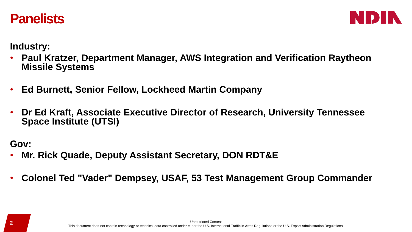



**Industry:** 

- **Paul Kratzer, Department Manager, AWS Integration and Verification Raytheon Missile Systems**
- **Ed Burnett, Senior Fellow, Lockheed Martin Company**
- **Dr Ed Kraft, Associate Executive Director of Research, University Tennessee Space Institute (UTSI)**

**Gov:** 

- **Mr. Rick Quade, Deputy Assistant Secretary, DON RDT&E**
- **Colonel Ted "Vader" Dempsey, USAF, 53 Test Management Group Commander**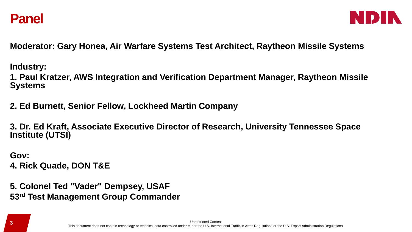



**Moderator: Gary Honea, Air Warfare Systems Test Architect, Raytheon Missile Systems**

**Industry:** 

**1. Paul Kratzer, AWS Integration and Verification Department Manager, Raytheon Missile Systems**

**2. Ed Burnett, Senior Fellow, Lockheed Martin Company**

**3. Dr. Ed Kraft, Associate Executive Director of Research, University Tennessee Space Institute (UTSI)**

**Gov: 4. Rick Quade, DON T&E**

**5. Colonel Ted "Vader" Dempsey, USAF 53rd Test Management Group Commander**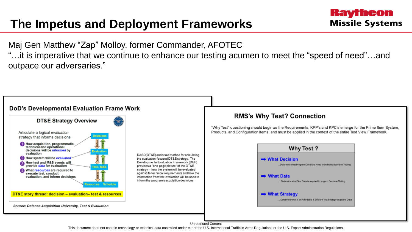## **The Impetus and Deployment Frameworks**

Maj Gen Matthew "Zap" Molloy, former Commander, AFOTEC "…it is imperative that we continue to enhance our testing acumen to meet the "speed of need"…and outpace our adversaries."

Raytheon

**Missile Systems** 



This document does not contain technology or technical data controlled under either the U.S. International Traffic in Arms Regulations or the U.S. Export Administration Regulations.